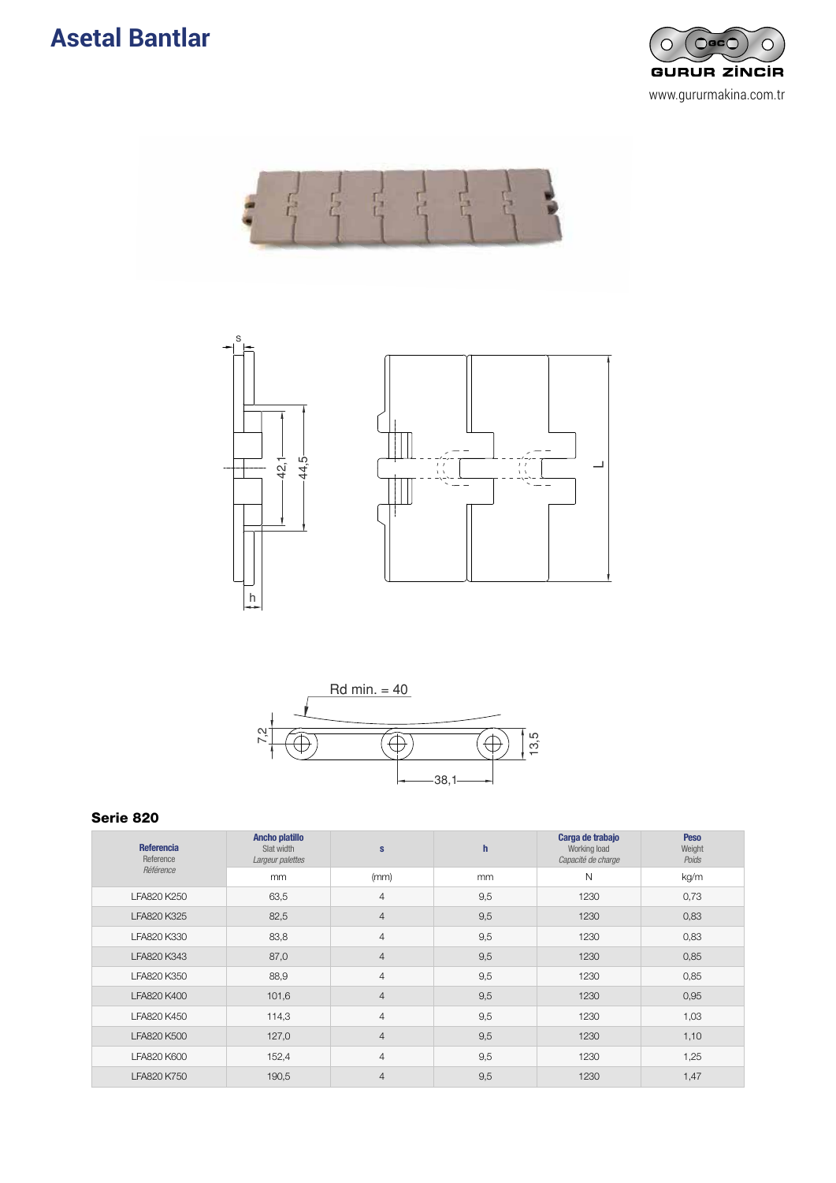







| <b>Referencia</b><br>Reference | <b>Ancho platillo</b><br>Slat width<br>Largeur palettes | $\mathbf{s}$   | h   | Carga de trabajo<br>Working load<br>Capacité de charge | <b>Peso</b><br>Weight<br>Poids |
|--------------------------------|---------------------------------------------------------|----------------|-----|--------------------------------------------------------|--------------------------------|
| Référence                      | mm                                                      | (mm)           | mm  | N                                                      | kg/m                           |
| LFA820 K250                    | 63,5                                                    | 4              | 9,5 | 1230                                                   | 0,73                           |
| LFA820 K325                    | 82,5                                                    | $\overline{4}$ | 9,5 | 1230                                                   | 0,83                           |
| LFA820 K330                    | 83,8                                                    | 4              | 9,5 | 1230                                                   | 0,83                           |
| LFA820 K343                    | 87,0                                                    | $\overline{4}$ | 9,5 | 1230                                                   | 0,85                           |
| LFA820 K350                    | 88,9                                                    | 4              | 9,5 | 1230                                                   | 0,85                           |
| LFA820 K400                    | 101,6                                                   | $\overline{4}$ | 9,5 | 1230                                                   | 0,95                           |
| LFA820 K450                    | 114,3                                                   | $\overline{4}$ | 9,5 | 1230                                                   | 1,03                           |
| LFA820 K500                    | 127,0                                                   | $\overline{4}$ | 9,5 | 1230                                                   | 1,10                           |
| LFA820 K600                    | 152,4                                                   | 4              | 9,5 | 1230                                                   | 1,25                           |
| LFA820 K750                    | 190,5                                                   | $\overline{4}$ | 9,5 | 1230                                                   | 1,47                           |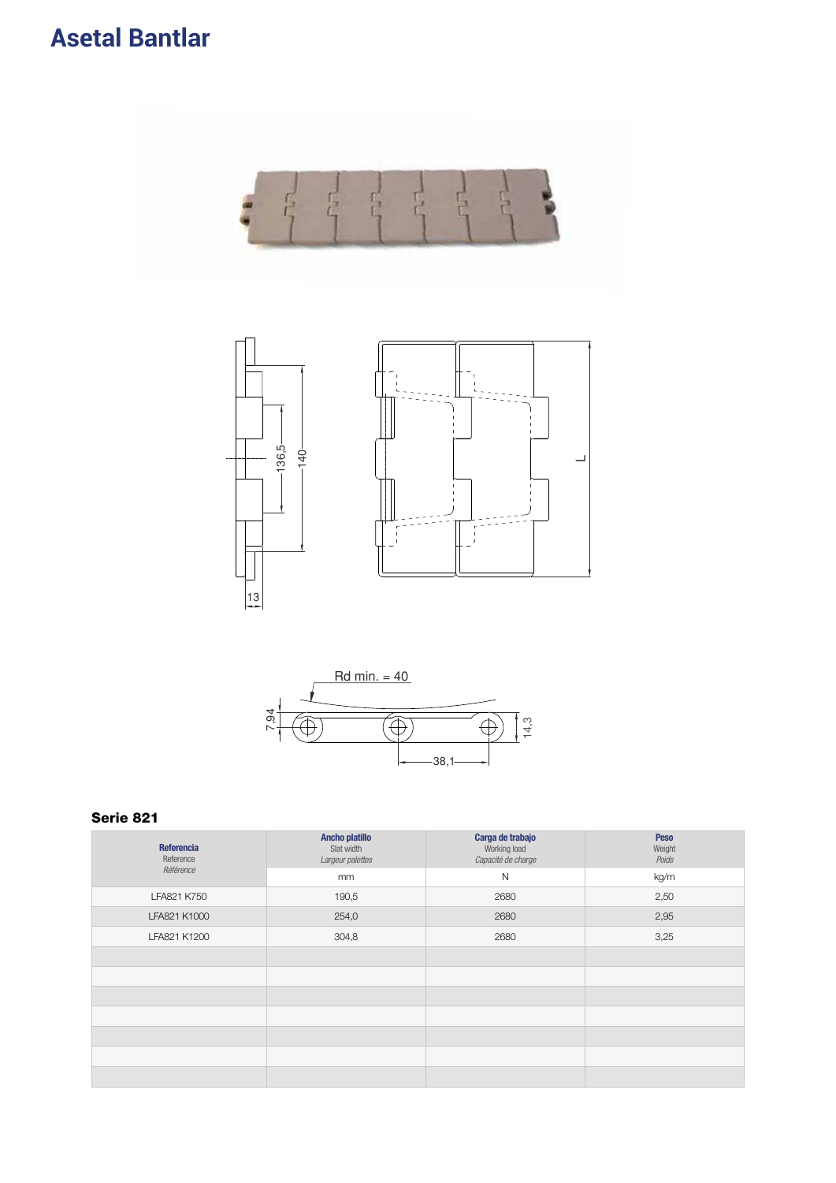



| Referencia<br>Reference | <b>Ancho platillo</b><br>Slat width<br>Largeur palettes | Carga de trabajo<br>Working load<br>Capacité de charge | Peso<br>Weight<br>Poids |
|-------------------------|---------------------------------------------------------|--------------------------------------------------------|-------------------------|
| Référence               | mm                                                      | $\mathsf{N}$                                           | kg/m                    |
| LFA821 K750             | 190,5                                                   | 2680                                                   | 2,50                    |
| LFA821 K1000            | 254,0                                                   | 2680                                                   | 2,95                    |
| LFA821 K1200            | 304,8                                                   | 2680                                                   | 3,25                    |
|                         |                                                         |                                                        |                         |
|                         |                                                         |                                                        |                         |
|                         |                                                         |                                                        |                         |
|                         |                                                         |                                                        |                         |
|                         |                                                         |                                                        |                         |
|                         |                                                         |                                                        |                         |
|                         |                                                         |                                                        |                         |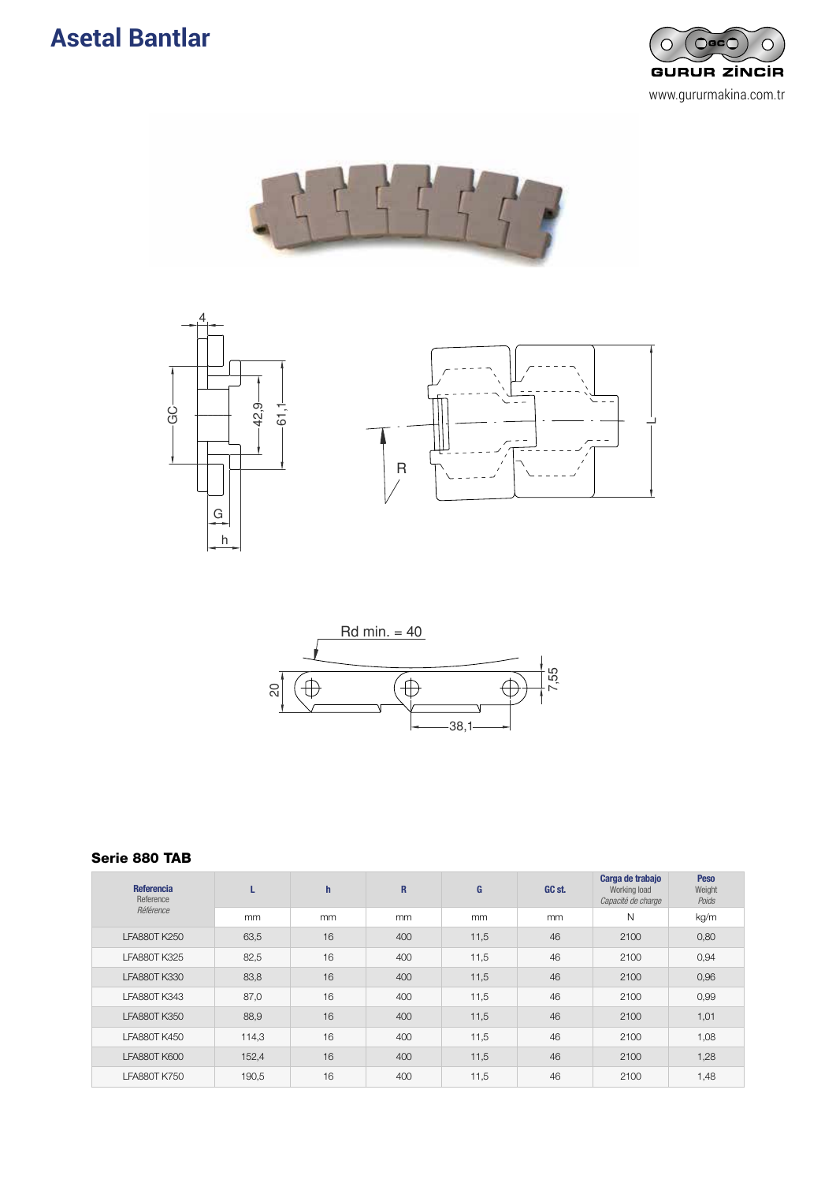### **Asetal Bantlar** De Charnela Termoral









#### Serie 880 TAB

| <b>Referencia</b><br>Reference | L     | $\mathsf{h}$ | $\mathbf R$ | G    | GC st. | Carga de trabajo<br>Working load<br>Capacité de charge | <b>Peso</b><br>Weight<br>Poids |
|--------------------------------|-------|--------------|-------------|------|--------|--------------------------------------------------------|--------------------------------|
| Référence                      | mm    | mm           | mm          | mm   | mm     | N                                                      | kg/m                           |
| <b>LFA880T K250</b>            | 63,5  | 16           | 400         | 11,5 | 46     | 2100                                                   | 0,80                           |
| <b>LFA880T K325</b>            | 82,5  | 16           | 400         | 11,5 | 46     | 2100                                                   | 0,94                           |
| <b>LFA880T K330</b>            | 83,8  | 16           | 400         | 11,5 | 46     | 2100                                                   | 0,96                           |
| <b>LFA880T K343</b>            | 87,0  | 16           | 400         | 11,5 | 46     | 2100                                                   | 0,99                           |
| <b>LFA880T K350</b>            | 88,9  | 16           | 400         | 11,5 | 46     | 2100                                                   | 1,01                           |
| <b>LFA880T K450</b>            | 114,3 | 16           | 400         | 11,5 | 46     | 2100                                                   | 1,08                           |
| <b>LFA880T K600</b>            | 152,4 | 16           | 400         | 11,5 | 46     | 2100                                                   | 1,28                           |
| <b>LFA880T K750</b>            | 190,5 | 16           | 400         | 11,5 | 46     | 2100                                                   | 1,48                           |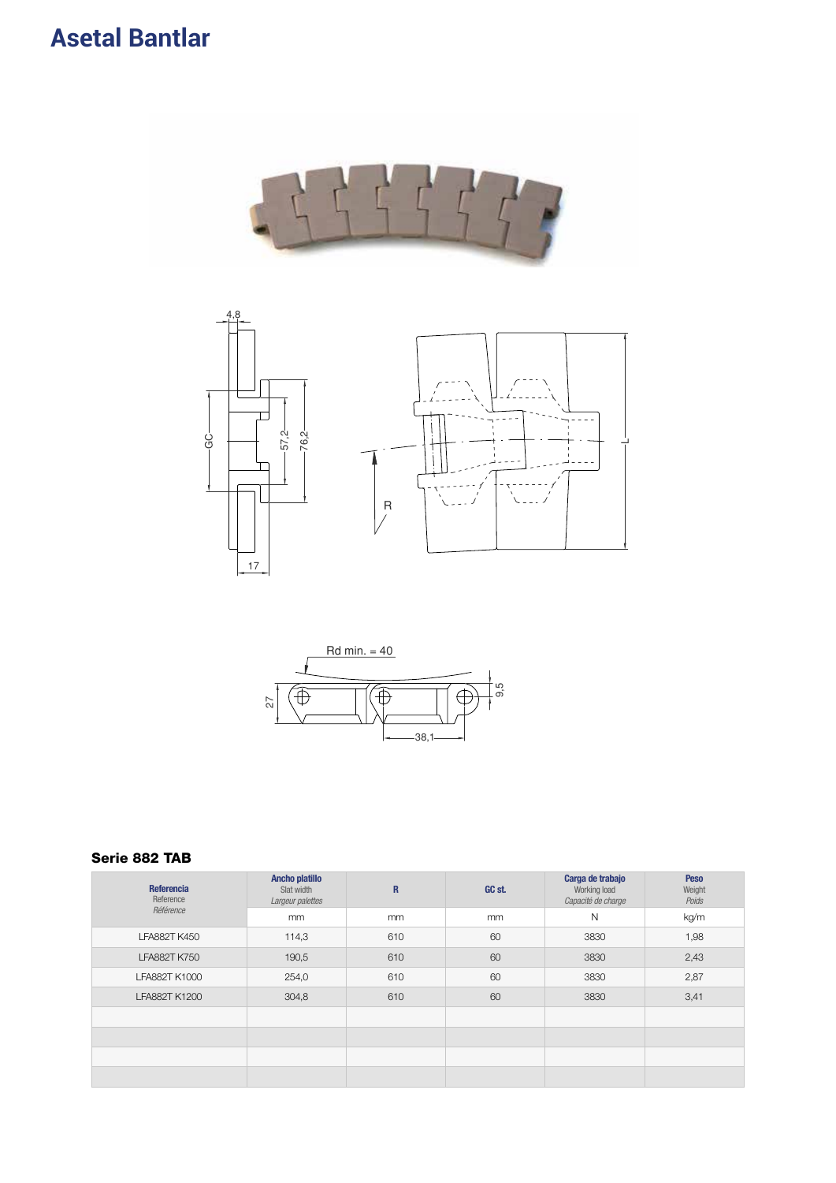





### Serie 882 TAB

| Referencia<br>Reference | <b>Ancho platillo</b><br>Slat width<br>Largeur palettes | $\mathbf{R}$ | GC st. | Carga de trabajo<br>Working load<br>Capacité de charge | <b>Peso</b><br>Weight<br>Poids |
|-------------------------|---------------------------------------------------------|--------------|--------|--------------------------------------------------------|--------------------------------|
| Référence               | mm                                                      | mm           | mm     | $\mathsf{N}$                                           | kg/m                           |
| <b>LFA882T K450</b>     | 114,3                                                   | 610          | 60     | 3830                                                   | 1,98                           |
| <b>LFA882T K750</b>     | 190,5                                                   | 610          | 60     | 3830                                                   | 2,43                           |
| LFA882T K1000           | 254,0                                                   | 610          | 60     | 3830                                                   | 2,87                           |
| LFA882T K1200           | 304,8                                                   | 610          | 60     | 3830                                                   | 3,41                           |
|                         |                                                         |              |        |                                                        |                                |
|                         |                                                         |              |        |                                                        |                                |
|                         |                                                         |              |        |                                                        |                                |
|                         |                                                         |              |        |                                                        |                                |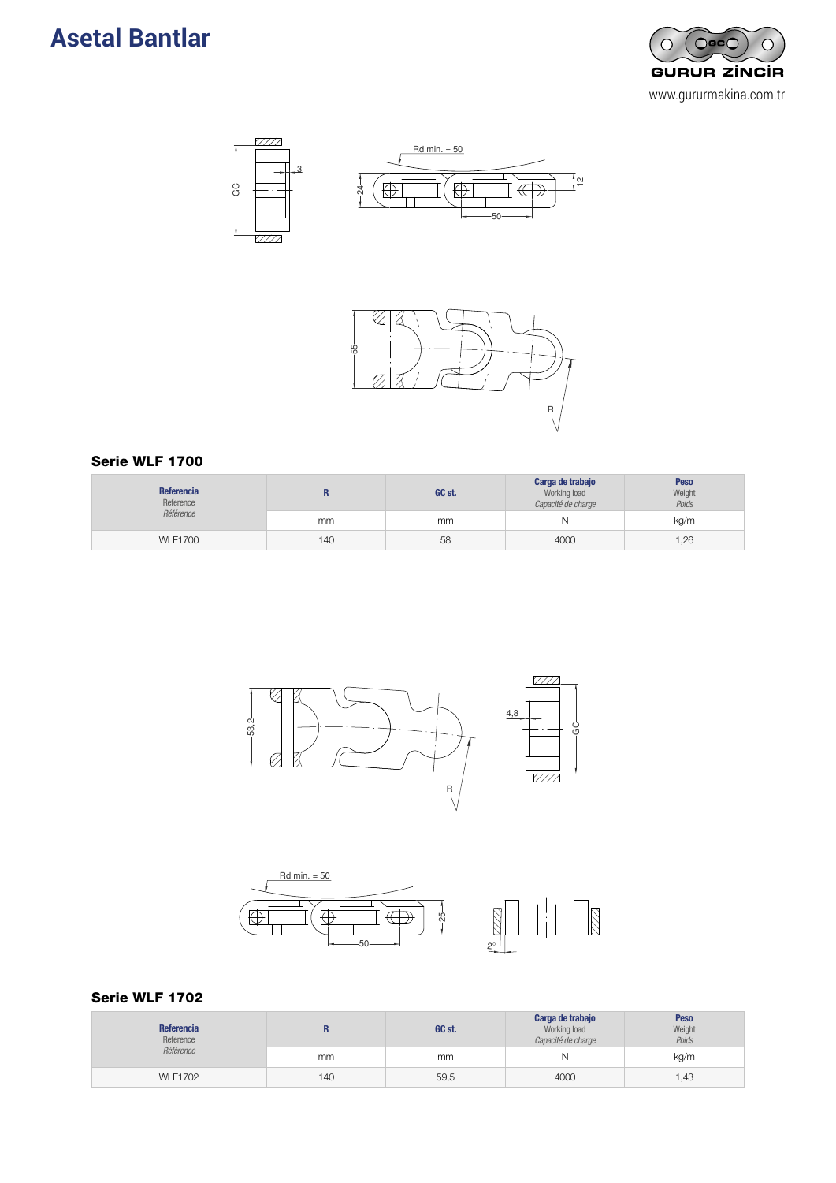







### Serie WLF 1700

| <b>Referencia</b><br>Reference<br>Référence |     | GC st. | Carga de trabajo<br>Working load<br>Capacité de charge | <b>Peso</b><br>Weight<br>Poids |
|---------------------------------------------|-----|--------|--------------------------------------------------------|--------------------------------|
|                                             | mm  | mm     | Ν                                                      | kg/m                           |
| <b>WLF1700</b>                              | 140 | 58     | 4000                                                   | 1,26                           |





#### Serie WLF 1702

| Referencia<br>Reference<br>Référence |     | GC st. | Carga de trabajo<br>Working load<br>Capacité de charge | <b>Peso</b><br>Weight<br>Poids |
|--------------------------------------|-----|--------|--------------------------------------------------------|--------------------------------|
|                                      | mm  | mm     | N                                                      | kg/m                           |
| <b>WLF1702</b>                       | 140 | 59,5   | 4000                                                   | 1,43                           |

222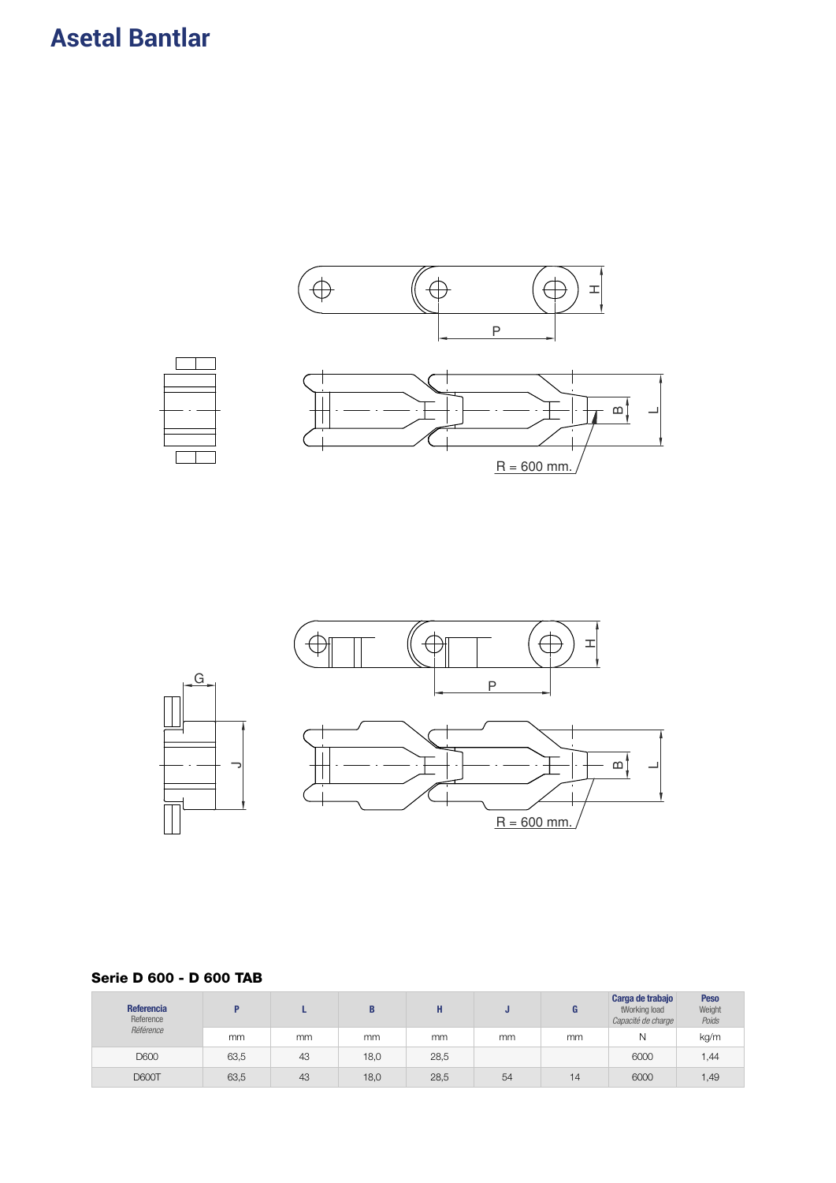



### Serie D 600 - D 600 TAB

| Referencia<br>Reference |      |    | B    | п<br>п |    |    | Carga de trabajo<br>tWorking load<br>Capacité de charge | <b>Peso</b><br>Weight<br>Poids |
|-------------------------|------|----|------|--------|----|----|---------------------------------------------------------|--------------------------------|
| Référence               | mm   | mm | mm   | mm     | mm | mm | Ν                                                       | kg/m                           |
| D600                    | 63,5 | 43 | 18,0 | 28,5   |    |    | 6000                                                    | 1,44                           |
| <b>D600T</b>            | 63,5 | 43 | 18,0 | 28,5   | 54 | 14 | 6000                                                    | 1,49                           |